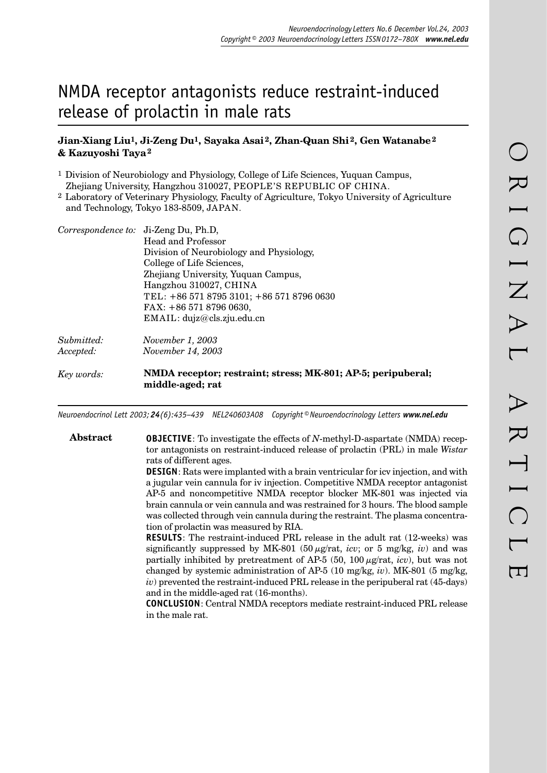# NMDA receptor antagonists reduce restraint-induced release of prolactin in male rats

# **Jian-Xiang Liu1, Ji-Zeng Du1, Sayaka Asai 2, Zhan-Quan Shi 2, Gen Watanabe 2 & Kazuyoshi Taya 2**

1 Division of Neurobiology and Physiology, College of Life Sciences, Yuquan Campus, Zhejiang University, Hangzhou 310027, PEOPLE'S REPUBLIC OF CHINA.

2 Laboratory of Veterinary Physiology, Faculty of Agriculture, Tokyo University of Agriculture and Technology, Tokyo 183-8509, JAPAN.

|            | Correspondence to: Ji-Zeng Du, Ph.D,                                             |
|------------|----------------------------------------------------------------------------------|
|            | Head and Professor                                                               |
|            | Division of Neurobiology and Physiology,                                         |
|            | College of Life Sciences,                                                        |
|            | Zhejiang University, Yuquan Campus,                                              |
|            | Hangzhou 310027, CHINA                                                           |
|            | TEL: +86 571 8795 3101; +86 571 8796 0630                                        |
|            | FAX: $+8657187960630$ ,                                                          |
|            | EMAIL: dujz@cls.zju.edu.cn                                                       |
| Submitted: | November 1, 2003                                                                 |
| Accepted:  | <i>November 14, 2003</i>                                                         |
| Key words: | NMDA receptor; restraint; stress; MK-801; AP-5; peripuberal;<br>middle-aged; rat |

*Neuroendocrinol Lett 2003; 24(6):435–439 NEL240603A08 Copyright © Neuroendocrinology Letters www.nel.edu*

434 *Neuroendocrinology Letters No.6 December Vol.24, 2003 Copyright © Neuroendocrinology Letters ISSN 0172–780X www.nel.edu* 435

## **Abstract OBJECTIVE**: To investigate the effects of *N*-methyl-D-aspartate (NMDA) receptor antagonists on restraint-induced release of prolactin (PRL) in male *Wistar* rats of different ages.

**DESIGN**: Rats were implanted with a brain ventricular for icv injection, and with a jugular vein cannula for iv injection. Competitive NMDA receptor antagonist AP-5 and noncompetitive NMDA receptor blocker MK-801 was injected via brain cannula or vein cannula and was restrained for 3 hours. The blood sample was collected through vein cannula during the restraint. The plasma concentration of prolactin was measured by RIA.

**RESULTS**: The restraint-induced PRL release in the adult rat (12-weeks) was significantly suppressed by MK-801 (50  $\mu$ g/rat, *icv*; or 5 mg/kg, *iv*) and was partially inhibited by pretreatment of AP-5 (50, 100  $\mu$ g/rat, *icv*), but was not changed by systemic administration of AP-5 (10 mg/kg, *iv*). MK-801 (5 mg/kg, *iv*) prevented the restraint-induced PRL release in the peripuberal rat (45-days) and in the middle-aged rat (16-months).

**CONCLUSION**: Central NMDA receptors mediate restraint-induced PRL release in the male rat.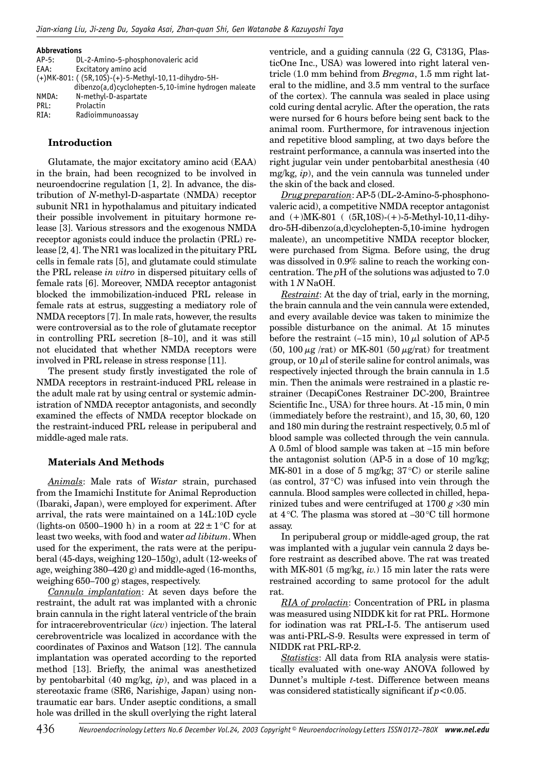#### **Abbrevations**

| $AP-5:$ | DL-2-Amino-5-phosphonovaleric acid                         |
|---------|------------------------------------------------------------|
| EAA:    | Excitatory amino acid                                      |
|         | (+) MK-801: ((5R, 10S) - (+) - 5-Methyl-10, 11-dihydro-5H- |
|         | dibenzo(a,d)cyclohepten-5,10-imine hydrogen maleate        |
| NMDA:   | N-methyl-D-aspartate                                       |
| PRL:    | Prolactin                                                  |
| RIA:    | Radioimmunoassay                                           |
|         |                                                            |

## **Introduction**

Glutamate, the major excitatory amino acid (EAA) in the brain, had been recognized to be involved in neuroendocrine regulation [1, 2]. In advance, the distribution of *N*-methyl-D-aspartate (NMDA) receptor subunit NR1 in hypothalamus and pituitary indicated their possible involvement in pituitary hormone release [3]. Various stressors and the exogenous NMDA receptor agonists could induce the prolactin (PRL) release [2, 4]. The NR1 was localized in the pituitary PRL cells in female rats [5], and glutamate could stimulate the PRL release *in vitro* in dispersed pituitary cells of female rats [6]. Moreover, NMDA receptor antagonist blocked the immobilization-induced PRL release in female rats at estrus, suggesting a mediatory role of NMDA receptors [7]. In male rats, however, the results were controversial as to the role of glutamate receptor in controlling PRL secretion [8–10], and it was still not elucidated that whether NMDA receptors were involved in PRL release in stress response [11].

The present study firstly investigated the role of NMDA receptors in restraint-induced PRL release in the adult male rat by using central or systemic administration of NMDA receptor antagonists, and secondly examined the effects of NMDA receptor blockade on the restraint-induced PRL release in peripuberal and middle-aged male rats.

## **Materials And Methods**

*Animals*: Male rats of *Wistar* strain, purchased from the Imamichi Institute for Animal Reproduction (Ibaraki, Japan), were employed for experiment. After arrival, the rats were maintained on a 14L:10D cycle (lights-on 0500–1900 h) in a room at  $22 \pm 1$  °C for at least two weeks, with food and water *ad libitum*. When used for the experiment, the rats were at the peripuberal (45-days, weighing 120–150g), adult (12-weeks of age, weighing 380–420 g) and middle-aged (16-months, weighing 650–700 g) stages, respectively.

*Cannula implantation*: At seven days before the restraint, the adult rat was implanted with a chronic brain cannula in the right lateral ventricle of the brain for intracerebroventricular (*icv*) injection. The lateral cerebroventricle was localized in accordance with the coordinates of Paxinos and Watson [12]. The cannula implantation was operated according to the reported method [13]. Briefly, the animal was anesthetized by pentobarbital (40 mg/kg, *ip*), and was placed in a stereotaxic frame (SR6, Narishige, Japan) using nontraumatic ear bars. Under aseptic conditions, a small hole was drilled in the skull overlying the right lateral ventricle, and a guiding cannula (22 G, C313G, PlasticOne Inc., USA) was lowered into right lateral ventricle (1.0 mm behind from *Bregma*, 1.5 mm right lateral to the midline, and 3.5 mm ventral to the surface of the cortex). The cannula was sealed in place using cold curing dental acrylic. After the operation, the rats were nursed for 6 hours before being sent back to the animal room. Furthermore, for intravenous injection and repetitive blood sampling, at two days before the restraint performance, a cannula was inserted into the right jugular vein under pentobarbital anesthesia (40 mg/kg, *ip*), and the vein cannula was tunneled under the skin of the back and closed.

*Drug preparation*: AP-5 (DL-2-Amino-5-phosphonovaleric acid), a competitive NMDA receptor antagonist and (+)MK-801 ( (5R,10S)-(+)-5-Methyl-10,11-dihydro-5H-dibenzo(a,d)cyclohepten-5,10-imine hydrogen maleate), an uncompetitive NMDA receptor blocker, were purchased from Sigma. Before using, the drug was dissolved in 0.9% saline to reach the working concentration. The *p*H of the solutions was adjusted to 7.0 with 1 *N* NaOH.

*Restraint*: At the day of trial, early in the morning, the brain cannula and the vein cannula were extended, and every available device was taken to minimize the possible disturbance on the animal. At 15 minutes before the restraint  $(-15 \text{ min})$ ,  $10 \mu l$  solution of AP-5 (50, 100  $\mu$ g /rat) or MK-801 (50  $\mu$ g/rat) for treatment group, or  $10 \mu l$  of sterile saline for control animals, was respectively injected through the brain cannula in 1.5 min. Then the animals were restrained in a plastic restrainer (DecapiCones Restrainer DC-200, Braintree Scientific Inc., USA) for three hours. At -15 min, 0 min (immediately before the restraint), and 15, 30, 60, 120 and 180 min during the restraint respectively, 0.5 ml of blood sample was collected through the vein cannula. A 0.5ml of blood sample was taken at –15 min before the antagonist solution (AP-5 in a dose of 10 mg/kg; MK-801 in a dose of 5 mg/kg;  $37^{\circ}$ C) or sterile saline (as control,  $37^{\circ}$ C) was infused into vein through the cannula. Blood samples were collected in chilled, heparinized tubes and were centrifuged at  $1700 g \times 30$  min at  $4^{\circ}$ C. The plasma was stored at  $-30^{\circ}$ C till hormone assay.

In peripuberal group or middle-aged group, the rat was implanted with a jugular vein cannula 2 days before restraint as described above. The rat was treated with MK-801 (5 mg/kg, *iv.*) 15 min later the rats were restrained according to same protocol for the adult rat.

*RIA of prolactin*: Concentration of PRL in plasma was measured using NIDDK kit for rat PRL. Hormone for iodination was rat PRL-I-5. The antiserum used was anti-PRL-S-9. Results were expressed in term of NIDDK rat PRL-RP-2.

*Statistics*: All data from RIA analysis were statistically evaluated with one-way ANOVA followed by Dunnet's multiple *t*-test. Difference between means was considered statistically significant if  $p < 0.05$ .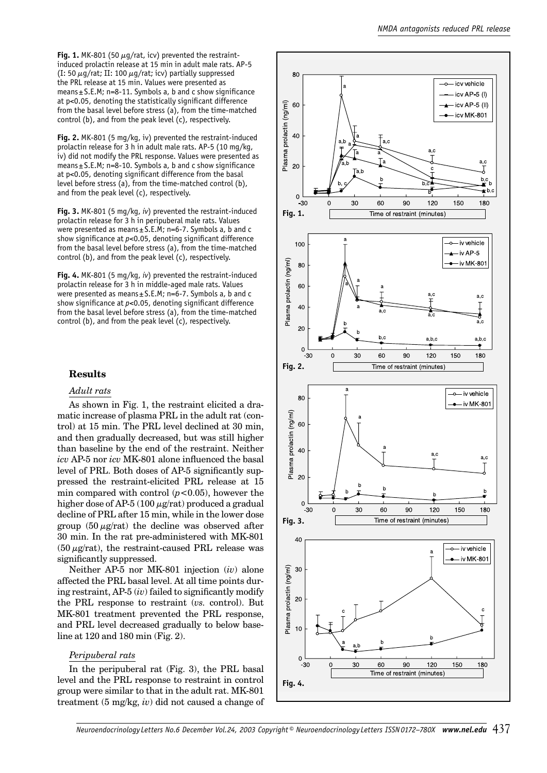Fig. 1. MK-801 (50  $\mu$ g/rat, icv) prevented the restraintinduced prolactin release at 15 min in adult male rats. AP-5 (I: 50  $\mu$ g/rat; II: 100  $\mu$ g/rat; icv) partially suppressed the PRL release at 15 min. Values were presented as means  $\pm$  S.E.M; n=8-11. Symbols a, b and c show significance at p<0.05, denoting the statistically significant difference from the basal level before stress (a), from the time-matched control (b), and from the peak level (c), respectively.

**Fig. 2.** MK-801 (5 mg/kg, iv) prevented the restraint-induced prolactin release for 3 h in adult male rats. AP-5 (10 mg/kg, iv) did not modify the PRL response. Values were presented as means ± S.E.M; n=8-10. Symbols a, b and c show significance at p<0.05, denoting significant difference from the basal level before stress (a), from the time-matched control (b), and from the peak level (c), respectively.

**Fig. 3.** MK-801 (5 mg/kg, *iv*) prevented the restraint-induced prolactin release for 3 h in peripuberal male rats. Values were presented as means $\pm$  S.E.M; n=6-7. Symbols a, b and c show significance at *p*<0.05, denoting significant difference from the basal level before stress (a), from the time-matched control (b), and from the peak level (c), respectively.

**Fig. 4.** MK-801 (5 mg/kg, *iv*) prevented the restraint-induced prolactin release for 3 h in middle-aged male rats. Values were presented as means $\pm$ S.E.M; n=6-7. Symbols a, b and c show significance at *p*<0.05, denoting significant difference from the basal level before stress (a), from the time-matched control (b), and from the peak level (c), respectively.

## **Results**

#### *Adult rats*

As shown in Fig. 1, the restraint elicited a dramatic increase of plasma PRL in the adult rat (control) at 15 min. The PRL level declined at 30 min, and then gradually decreased, but was still higher than baseline by the end of the restraint. Neither *icv* AP-5 nor *icv* MK-801 alone influenced the basal level of PRL. Both doses of AP-5 significantly suppressed the restraint-elicited PRL release at 15 min compared with control  $(p<0.05)$ , however the higher dose of AP-5 (100  $\mu$ g/rat) produced a gradual decline of PRL after 15 min, while in the lower dose group  $(50 \mu g/rat)$  the decline was observed after 30 min. In the rat pre-administered with MK-801  $(50 \mu g/rat)$ , the restraint-caused PRL release was significantly suppressed.

Neither AP-5 nor MK-801 injection (*iv*) alone affected the PRL basal level. At all time points during restraint, AP-5 (*iv*) failed to significantly modify the PRL response to restraint (*vs.* control). But MK-801 treatment prevented the PRL response, and PRL level decreased gradually to below baseline at 120 and 180 min (Fig. 2).

#### *Peripuberal rats*

In the peripuberal rat (Fig. 3), the PRL basal level and the PRL response to restraint in control group were similar to that in the adult rat. MK-801 treatment (5 mg/kg, *iv*) did not caused a change of



Neuroendocrinology Letters No.6 December Vol.24, 2003 Copyright © Neuroendocrinology Letters ISSN 0172-780X www.nel.edu 437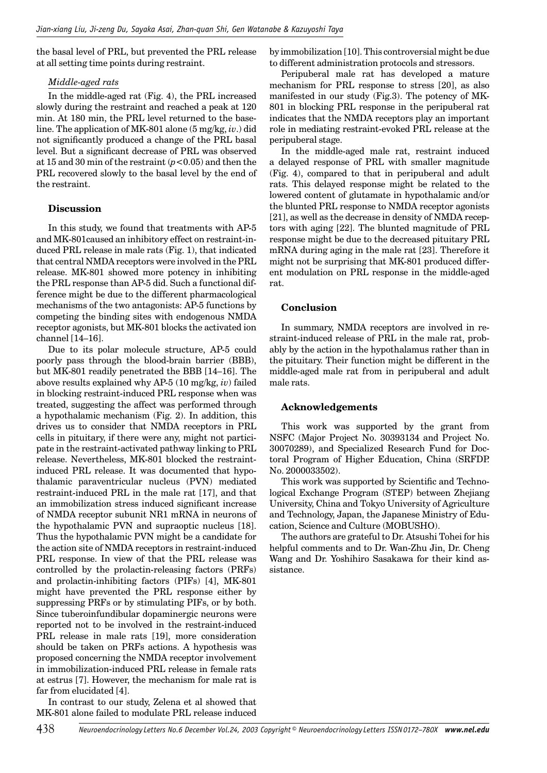the basal level of PRL, but prevented the PRL release at all setting time points during restraint.

## *Middle-aged rats*

In the middle-aged rat (Fig. 4), the PRL increased slowly during the restraint and reached a peak at 120 min. At 180 min, the PRL level returned to the baseline. The application of MK-801 alone (5 mg/kg, *iv*.) did not significantly produced a change of the PRL basal level. But a significant decrease of PRL was observed at 15 and 30 min of the restraint (*p*<0.05) and then the PRL recovered slowly to the basal level by the end of the restraint.

# **Discussion**

In this study, we found that treatments with AP-5 and MK-801caused an inhibitory effect on restraint-induced PRL release in male rats (Fig. 1), that indicated that central NMDA receptors were involved in the PRL release. MK-801 showed more potency in inhibiting the PRL response than AP-5 did. Such a functional difference might be due to the different pharmacological mechanisms of the two antagonists: AP-5 functions by competing the binding sites with endogenous NMDA receptor agonists, but MK-801 blocks the activated ion channel [14–16].

Due to its polar molecule structure, AP-5 could poorly pass through the blood-brain barrier (BBB), but MK-801 readily penetrated the BBB [14–16]. The above results explained why AP-5 (10 mg/kg, *iv*) failed in blocking restraint-induced PRL response when was treated, suggesting the affect was performed through a hypothalamic mechanism (Fig. 2). In addition, this drives us to consider that NMDA receptors in PRL cells in pituitary, if there were any, might not participate in the restraint-activated pathway linking to PRL release. Nevertheless, MK-801 blocked the restraintinduced PRL release. It was documented that hypothalamic paraventricular nucleus (PVN) mediated restraint-induced PRL in the male rat [17], and that an immobilization stress induced significant increase of NMDA receptor subunit NR1 mRNA in neurons of the hypothalamic PVN and supraoptic nucleus [18]. Thus the hypothalamic PVN might be a candidate for the action site of NMDA receptors in restraint-induced PRL response. In view of that the PRL release was controlled by the prolactin-releasing factors (PRFs) and prolactin-inhibiting factors (PIFs) [4], MK-801 might have prevented the PRL response either by suppressing PRFs or by stimulating PIFs, or by both. Since tuberoinfundibular dopaminergic neurons were reported not to be involved in the restraint-induced PRL release in male rats [19], more consideration should be taken on PRFs actions. A hypothesis was proposed concerning the NMDA receptor involvement in immobilization-induced PRL release in female rats at estrus [7]. However, the mechanism for male rat is far from elucidated [4].

In contrast to our study, Zelena et al showed that MK-801 alone failed to modulate PRL release induced by immobilization [10]. This controversial might be due to different administration protocols and stressors.

Peripuberal male rat has developed a mature mechanism for PRL response to stress [20], as also manifested in our study (Fig.3). The potency of MK-801 in blocking PRL response in the peripuberal rat indicates that the NMDA receptors play an important role in mediating restraint-evoked PRL release at the peripuberal stage.

In the middle-aged male rat, restraint induced a delayed response of PRL with smaller magnitude (Fig. 4), compared to that in peripuberal and adult rats. This delayed response might be related to the lowered content of glutamate in hypothalamic and/or the blunted PRL response to NMDA receptor agonists [21], as well as the decrease in density of NMDA receptors with aging [22]. The blunted magnitude of PRL response might be due to the decreased pituitary PRL mRNA during aging in the male rat [23]. Therefore it might not be surprising that MK-801 produced different modulation on PRL response in the middle-aged rat.

# **Conclusion**

In summary, NMDA receptors are involved in restraint-induced release of PRL in the male rat, probably by the action in the hypothalamus rather than in the pituitary. Their function might be different in the middle-aged male rat from in peripuberal and adult male rats.

# **Acknowledgements**

This work was supported by the grant from NSFC (Major Project No. 30393134 and Project No. 30070289), and Specialized Research Fund for Doctoral Program of Higher Education, China (SRFDP. No. 2000033502).

This work was supported by Scientific and Technological Exchange Program (STEP) between Zhejiang University, China and Tokyo University of Agriculture and Technology, Japan, the Japanese Ministry of Education, Science and Culture (MOBUSHO).

The authors are grateful to Dr. Atsushi Tohei for his helpful comments and to Dr. Wan-Zhu Jin, Dr. Cheng Wang and Dr. Yoshihiro Sasakawa for their kind assistance.